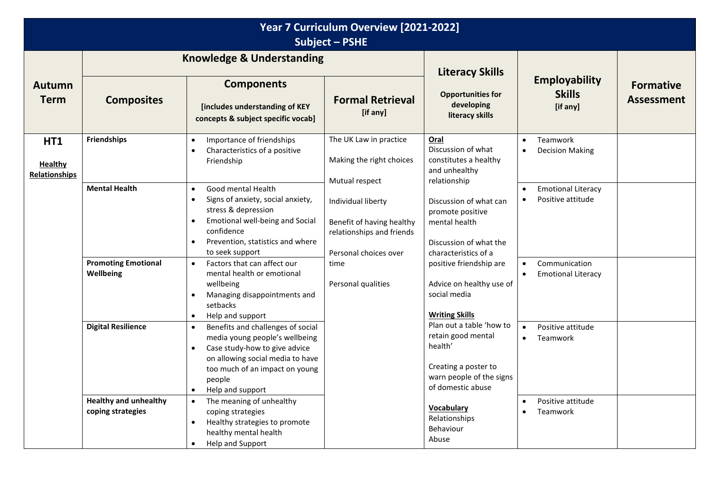| Year 7 Curriculum Overview [2021-2022]<br><b>Subject - PSHE</b> |                                                   |                                                                                                                                                                                                                                                 |                                                                                                                                                                                                                                                                    |                                                                                     |                                                                                                                         |                                                         |  |
|-----------------------------------------------------------------|---------------------------------------------------|-------------------------------------------------------------------------------------------------------------------------------------------------------------------------------------------------------------------------------------------------|--------------------------------------------------------------------------------------------------------------------------------------------------------------------------------------------------------------------------------------------------------------------|-------------------------------------------------------------------------------------|-------------------------------------------------------------------------------------------------------------------------|---------------------------------------------------------|--|
| <b>Autumn</b><br><b>Term</b>                                    | <b>Composites</b>                                 | <b>Knowledge &amp; Understanding</b><br><b>Components</b><br>[includes understanding of KEY<br>concepts & subject specific vocab]                                                                                                               | <b>Formal Retrieval</b><br>[if any]                                                                                                                                                                                                                                | <b>Literacy Skills</b><br><b>Opportunities for</b><br>developing<br>literacy skills | <b>Employability</b><br><b>Skills</b><br>[if any]                                                                       | <b>Formative</b><br><b>Assessment</b>                   |  |
| <b>HT1</b><br><b>Healthy</b><br>Relationships                   | <b>Friendships</b>                                | Importance of friendships<br>$\bullet$<br>Characteristics of a positive<br>$\bullet$<br>Friendship                                                                                                                                              | The UK Law in practice<br>Making the right choices                                                                                                                                                                                                                 | Oral<br>Discussion of what<br>constitutes a healthy<br>and unhealthy                | Teamwork<br>$\bullet$<br><b>Decision Making</b><br>$\bullet$                                                            |                                                         |  |
|                                                                 | <b>Mental Health</b>                              | Good mental Health<br>$\bullet$<br>Signs of anxiety, social anxiety,<br>$\bullet$<br>stress & depression<br>Emotional well-being and Social<br>$\bullet$<br>confidence<br>Prevention, statistics and where<br>$\bullet$<br>to seek support      | Mutual respect<br>relationship<br>Individual liberty<br>Benefit of having healthy<br>mental health<br>relationships and friends<br>Personal choices over<br>characteristics of a<br>time<br>Personal qualities<br>social media<br><b>Writing Skills</b><br>health' | Discussion of what can<br>promote positive<br>Discussion of what the                | <b>Emotional Literacy</b><br>$\bullet$<br>Positive attitude<br>$\bullet$                                                |                                                         |  |
|                                                                 | <b>Promoting Emotional</b><br>Wellbeing           | Factors that can affect our<br>$\bullet$<br>mental health or emotional<br>wellbeing<br>Managing disappointments and<br>setbacks<br>Help and support<br>$\bullet$                                                                                |                                                                                                                                                                                                                                                                    | positive friendship are<br>Advice on healthy use of                                 | Communication<br><b>Emotional Literacy</b>                                                                              |                                                         |  |
|                                                                 | <b>Digital Resilience</b>                         | Benefits and challenges of social<br>$\bullet$<br>media young people's wellbeing<br>Case study-how to give advice<br>$\bullet$<br>on allowing social media to have<br>too much of an impact on young<br>people<br>Help and support<br>$\bullet$ |                                                                                                                                                                                                                                                                    |                                                                                     | Plan out a table 'how to<br>retain good mental<br>Creating a poster to<br>warn people of the signs<br>of domestic abuse | Positive attitude<br>$\bullet$<br>Teamwork<br>$\bullet$ |  |
|                                                                 | <b>Healthy and unhealthy</b><br>coping strategies | The meaning of unhealthy<br>$\bullet$<br>coping strategies<br>Healthy strategies to promote<br>$\bullet$<br>healthy mental health<br>Help and Support                                                                                           |                                                                                                                                                                                                                                                                    | <b>Vocabulary</b><br>Relationships<br>Behaviour<br>Abuse                            | Positive attitude<br>$\bullet$<br>Teamwork<br>$\bullet$                                                                 |                                                         |  |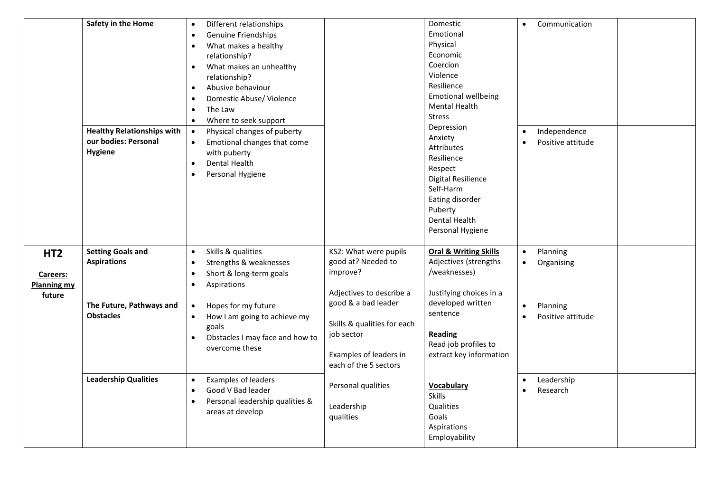|                                                             | Safety in the Home<br><b>Healthy Relationships with</b><br>our bodies: Personal<br><b>Hygiene</b> | Different relationships<br>$\bullet$<br>Genuine Friendships<br>$\bullet$<br>What makes a healthy<br>$\bullet$<br>relationship?<br>What makes an unhealthy<br>$\bullet$<br>relationship?<br>Abusive behaviour<br>$\bullet$<br>Domestic Abuse/ Violence<br>$\bullet$<br>The Law<br>$\bullet$<br>Where to seek support<br>$\bullet$<br>Physical changes of puberty<br>$\bullet$<br>Emotional changes that come<br>$\bullet$<br>with puberty<br><b>Dental Health</b><br>$\bullet$<br>Personal Hygiene<br>$\bullet$ |                                                                                                                     | Domestic<br>Emotional<br>Physical<br>Economic<br>Coercion<br>Violence<br>Resilience<br><b>Emotional wellbeing</b><br><b>Mental Health</b><br><b>Stress</b><br>Depression<br>Anxiety<br>Attributes<br>Resilience<br>Respect<br><b>Digital Resilience</b><br>Self-Harm<br>Eating disorder<br>Puberty<br><b>Dental Health</b><br>Personal Hygiene | Communication<br>$\bullet$<br>Independence<br>$\bullet$<br>Positive attitude<br>$\bullet$          |                                            |  |
|-------------------------------------------------------------|---------------------------------------------------------------------------------------------------|----------------------------------------------------------------------------------------------------------------------------------------------------------------------------------------------------------------------------------------------------------------------------------------------------------------------------------------------------------------------------------------------------------------------------------------------------------------------------------------------------------------|---------------------------------------------------------------------------------------------------------------------|------------------------------------------------------------------------------------------------------------------------------------------------------------------------------------------------------------------------------------------------------------------------------------------------------------------------------------------------|----------------------------------------------------------------------------------------------------|--------------------------------------------|--|
| HT <sub>2</sub><br>Careers:<br><b>Planning my</b><br>future | <b>Setting Goals and</b><br><b>Aspirations</b>                                                    | Skills & qualities<br>$\bullet$<br>Strengths & weaknesses<br>$\bullet$<br>Short & long-term goals<br>$\bullet$<br>Aspirations<br>$\bullet$                                                                                                                                                                                                                                                                                                                                                                     | KS2: What were pupils<br>good at? Needed to<br>improve?<br>Adjectives to describe a                                 | <b>Oral &amp; Writing Skills</b><br>Adjectives (strengths<br>/weaknesses)<br>Justifying choices in a                                                                                                                                                                                                                                           | Planning<br>$\bullet$<br>Organising<br>$\bullet$                                                   |                                            |  |
|                                                             | The Future, Pathways and<br><b>Obstacles</b>                                                      | Hopes for my future<br>$\bullet$<br>How I am going to achieve my<br>$\bullet$<br>goals<br>Obstacles I may face and how to<br>$\bullet$<br>overcome these                                                                                                                                                                                                                                                                                                                                                       | good & a bad leader<br>Skills & qualities for each<br>job sector<br>Examples of leaders in<br>each of the 5 sectors |                                                                                                                                                                                                                                                                                                                                                | developed written<br>sentence<br><b>Reading</b><br>Read job profiles to<br>extract key information | Planning<br>$\bullet$<br>Positive attitude |  |
|                                                             | <b>Leadership Qualities</b>                                                                       | Examples of leaders<br>$\bullet$<br>Good V Bad leader<br>$\bullet$<br>Personal leadership qualities &<br>$\bullet$<br>areas at develop                                                                                                                                                                                                                                                                                                                                                                         | Personal qualities<br>Leadership<br>qualities                                                                       | <b>Vocabulary</b><br><b>Skills</b><br>Qualities<br>Goals<br>Aspirations<br>Employability                                                                                                                                                                                                                                                       | Leadership<br>Research                                                                             |                                            |  |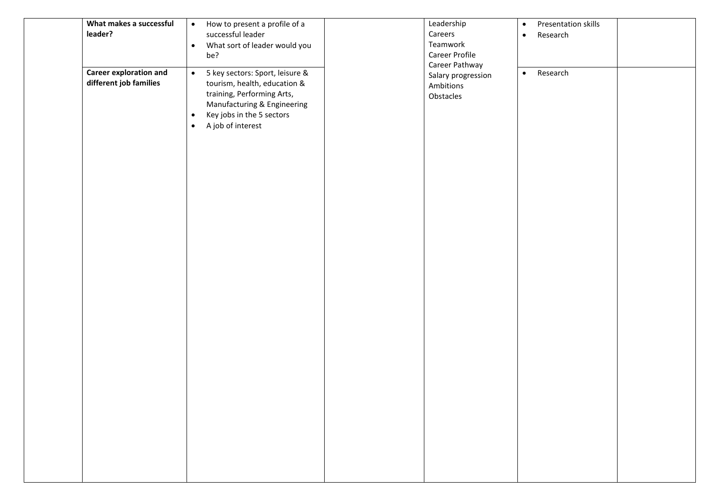| leader? | What makes a successful                                 | How to present a profile of a<br>$\bullet$<br>successful leader<br>What sort of leader would you<br>$\bullet$<br>be?                                                                                                  | Leadership<br>Careers<br>Teamwork<br>Career Profile            | $\bullet$<br>$\bullet$ | Presentation skills<br>Research |  |
|---------|---------------------------------------------------------|-----------------------------------------------------------------------------------------------------------------------------------------------------------------------------------------------------------------------|----------------------------------------------------------------|------------------------|---------------------------------|--|
|         | <b>Career exploration and</b><br>different job families | 5 key sectors: Sport, leisure &<br>$\bullet$<br>tourism, health, education &<br>training, Performing Arts,<br>Manufacturing & Engineering<br>Key jobs in the 5 sectors<br>$\bullet$<br>A job of interest<br>$\bullet$ | Career Pathway<br>Salary progression<br>Ambitions<br>Obstacles | $\bullet$              | Research                        |  |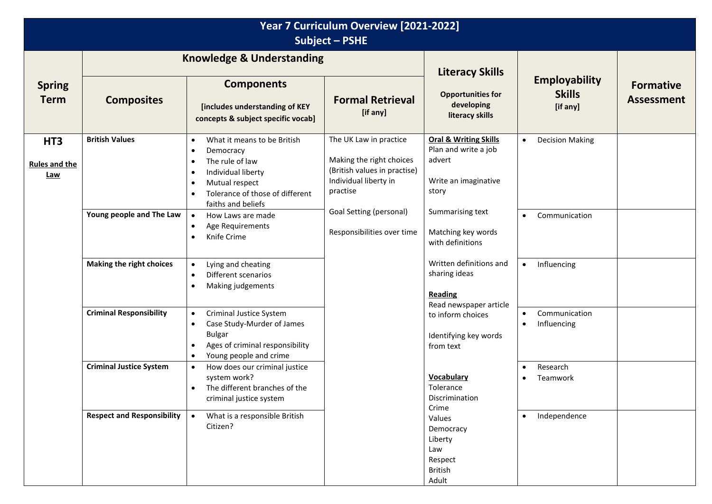| Year 7 Curriculum Overview [2021-2022]<br>Subject - PSHE |                                   |                                                                                                                                                                                                                                            |                                                                                                                         |                                                                                                                                                 |                                                        |                                       |  |
|----------------------------------------------------------|-----------------------------------|--------------------------------------------------------------------------------------------------------------------------------------------------------------------------------------------------------------------------------------------|-------------------------------------------------------------------------------------------------------------------------|-------------------------------------------------------------------------------------------------------------------------------------------------|--------------------------------------------------------|---------------------------------------|--|
| <b>Spring</b><br><b>Term</b>                             | <b>Composites</b>                 | <b>Knowledge &amp; Understanding</b><br><b>Components</b><br>[includes understanding of KEY<br>concepts & subject specific vocab]                                                                                                          | <b>Formal Retrieval</b><br>[if any]                                                                                     | <b>Literacy Skills</b><br><b>Opportunities for</b><br>developing<br>literacy skills                                                             | <b>Employability</b><br><b>Skills</b><br>[if any]      | <b>Formative</b><br><b>Assessment</b> |  |
| HT <sub>3</sub><br><b>Rules and the</b><br>Law           | <b>British Values</b>             | What it means to be British<br>$\bullet$<br>Democracy<br>$\bullet$<br>The rule of law<br>$\bullet$<br>Individual liberty<br>$\bullet$<br>Mutual respect<br>$\bullet$<br>Tolerance of those of different<br>$\bullet$<br>faiths and beliefs | The UK Law in practice<br>Making the right choices<br>(British values in practise)<br>Individual liberty in<br>practise | <b>Oral &amp; Writing Skills</b><br>Plan and write a job<br>advert<br>Write an imaginative<br>story                                             | <b>Decision Making</b><br>$\bullet$                    |                                       |  |
|                                                          | Young people and The Law          | How Laws are made<br>$\bullet$<br>Age Requirements<br>$\bullet$<br>Knife Crime<br>$\bullet$                                                                                                                                                | Goal Setting (personal)<br>Responsibilities over time                                                                   | Summarising text<br>Matching key words<br>with definitions                                                                                      | Communication<br>$\bullet$                             |                                       |  |
|                                                          | Making the right choices          | Lying and cheating<br>$\bullet$<br>Different scenarios<br>$\bullet$<br>Making judgements<br>$\bullet$                                                                                                                                      |                                                                                                                         | Written definitions and<br>sharing ideas<br><b>Reading</b><br>Read newspaper article<br>to inform choices<br>Identifying key words<br>from text | Influencing<br>$\bullet$                               |                                       |  |
|                                                          | <b>Criminal Responsibility</b>    | Criminal Justice System<br>$\bullet$<br>Case Study-Murder of James<br>$\bullet$<br><b>Bulgar</b><br>Ages of criminal responsibility<br>$\bullet$<br>Young people and crime<br>$\bullet$                                                    |                                                                                                                         |                                                                                                                                                 | Communication<br>$\bullet$<br>Influencing<br>$\bullet$ |                                       |  |
|                                                          | <b>Criminal Justice System</b>    | How does our criminal justice<br>$\bullet$<br>system work?<br>The different branches of the<br>$\bullet$<br>criminal justice system                                                                                                        |                                                                                                                         | Vocabulary<br>Tolerance<br>Discrimination<br>Crime                                                                                              | Research<br>$\bullet$<br>Teamwork<br>$\bullet$         |                                       |  |
|                                                          | <b>Respect and Responsibility</b> | What is a responsible British<br>Citizen?                                                                                                                                                                                                  |                                                                                                                         | Values<br>Democracy<br>Liberty<br>Law<br>Respect<br><b>British</b><br>Adult                                                                     | Independence<br>$\bullet$                              |                                       |  |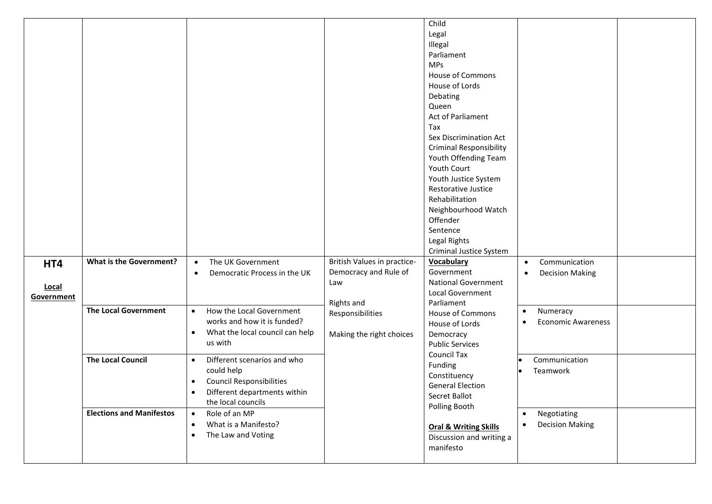|                            |                                 |                                                                                                                                                                           |                                                                           | Child<br>Legal<br>Illegal<br>Parliament<br><b>MPs</b><br><b>House of Commons</b><br>House of Lords<br>Debating<br>Queen<br>Act of Parliament<br>Tax<br>Sex Discrimination Act<br><b>Criminal Responsibility</b><br>Youth Offending Team<br>Youth Court<br>Youth Justice System<br>Restorative Justice<br>Rehabilitation<br>Neighbourhood Watch<br>Offender<br>Sentence<br>Legal Rights<br>Criminal Justice System |                                                                 |  |
|----------------------------|---------------------------------|---------------------------------------------------------------------------------------------------------------------------------------------------------------------------|---------------------------------------------------------------------------|-------------------------------------------------------------------------------------------------------------------------------------------------------------------------------------------------------------------------------------------------------------------------------------------------------------------------------------------------------------------------------------------------------------------|-----------------------------------------------------------------|--|
| HT4<br>Local<br>Government | <b>What is the Government?</b>  | The UK Government<br>$\bullet$<br>Democratic Process in the UK<br>$\bullet$                                                                                               | British Values in practice-<br>Democracy and Rule of<br>Law<br>Rights and | <b>Vocabulary</b><br>Government<br><b>National Government</b><br>Local Government<br>Parliament                                                                                                                                                                                                                                                                                                                   | Communication<br>$\bullet$<br><b>Decision Making</b><br>٠       |  |
|                            | <b>The Local Government</b>     | How the Local Government<br>$\bullet$<br>works and how it is funded?<br>What the local council can help<br>$\bullet$<br>us with                                           | Responsibilities<br>Making the right choices                              | <b>House of Commons</b><br>House of Lords<br>Democracy<br><b>Public Services</b><br><b>Council Tax</b><br>Funding<br>Constituency<br><b>General Election</b><br>Secret Ballot<br>Polling Booth                                                                                                                                                                                                                    | Numeracy<br>$\bullet$<br><b>Economic Awareness</b><br>$\bullet$ |  |
|                            | <b>The Local Council</b>        | Different scenarios and who<br>$\bullet$<br>could help<br><b>Council Responsibilities</b><br>$\bullet$<br>Different departments within<br>$\bullet$<br>the local councils |                                                                           |                                                                                                                                                                                                                                                                                                                                                                                                                   | Communication<br>Teamwork                                       |  |
|                            | <b>Elections and Manifestos</b> | Role of an MP<br>What is a Manifesto?<br>$\bullet$<br>The Law and Voting<br>$\bullet$                                                                                     |                                                                           | <b>Oral &amp; Writing Skills</b><br>Discussion and writing a<br>manifesto                                                                                                                                                                                                                                                                                                                                         | Negotiating<br><b>Decision Making</b><br>$\bullet$              |  |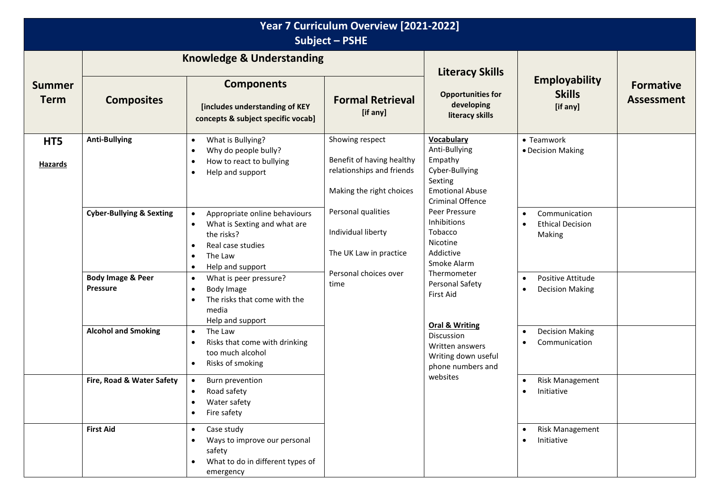| Year 7 Curriculum Overview [2021-2022]<br><b>Subject - PSHE</b> |                                                                                                                                                                       |                                                                                                                                                                        |                                                                                                                                 |                                                                                                                                |                                                                       |                                       |  |
|-----------------------------------------------------------------|-----------------------------------------------------------------------------------------------------------------------------------------------------------------------|------------------------------------------------------------------------------------------------------------------------------------------------------------------------|---------------------------------------------------------------------------------------------------------------------------------|--------------------------------------------------------------------------------------------------------------------------------|-----------------------------------------------------------------------|---------------------------------------|--|
|                                                                 | <b>Knowledge &amp; Understanding</b>                                                                                                                                  |                                                                                                                                                                        |                                                                                                                                 | <b>Literacy Skills</b>                                                                                                         |                                                                       |                                       |  |
| <b>Summer</b><br><b>Term</b>                                    | <b>Composites</b>                                                                                                                                                     | <b>Components</b><br>[includes understanding of KEY<br>concepts & subject specific vocab]                                                                              | <b>Formal Retrieval</b><br>[if any]                                                                                             | <b>Opportunities for</b><br>developing<br>literacy skills                                                                      | <b>Employability</b><br><b>Skills</b><br>[if any]                     | <b>Formative</b><br><b>Assessment</b> |  |
| HT5<br><b>Hazards</b>                                           | <b>Anti-Bullying</b><br>What is Bullying?<br>$\bullet$<br>Why do people bully?<br>$\bullet$<br>How to react to bullying<br>$\bullet$<br>Help and support<br>$\bullet$ | Showing respect<br>Benefit of having healthy<br>relationships and friends<br>Making the right choices                                                                  | <b>Vocabulary</b><br>Anti-Bullying<br>Empathy<br>Cyber-Bullying<br>Sexting<br><b>Emotional Abuse</b><br><b>Criminal Offence</b> | • Teamwork<br>• Decision Making                                                                                                |                                                                       |                                       |  |
|                                                                 | <b>Cyber-Bullying &amp; Sexting</b>                                                                                                                                   | Appropriate online behaviours<br>What is Sexting and what are<br>$\bullet$<br>the risks?<br>Real case studies<br>$\bullet$<br>The Law<br>Help and support<br>$\bullet$ | Personal qualities<br>Individual liberty<br>The UK Law in practice<br>Personal choices over<br>time                             | Peer Pressure<br>Inhibitions<br>Tobacco<br>Nicotine<br>Addictive<br>Smoke Alarm<br>Thermometer<br>Personal Safety<br>First Aid | Communication<br><b>Ethical Decision</b><br>$\bullet$<br>Making       |                                       |  |
|                                                                 | <b>Body Image &amp; Peer</b><br><b>Pressure</b>                                                                                                                       | What is peer pressure?<br>$\bullet$<br>Body Image<br>$\bullet$<br>The risks that come with the<br>media<br>Help and support                                            |                                                                                                                                 |                                                                                                                                | Positive Attitude<br>$\bullet$<br><b>Decision Making</b><br>$\bullet$ |                                       |  |
|                                                                 | <b>Alcohol and Smoking</b><br>The Law<br>$\bullet$<br>Risks that come with drinking<br>too much alcohol<br>Risks of smoking<br>$\bullet$                              |                                                                                                                                                                        | <b>Oral &amp; Writing</b><br>Discussion<br>Written answers<br>Writing down useful<br>phone numbers and                          | <b>Decision Making</b><br>$\bullet$<br>Communication<br>$\bullet$                                                              |                                                                       |                                       |  |
|                                                                 | Fire, Road & Water Safety                                                                                                                                             | Burn prevention<br>Road safety<br>$\bullet$<br>Water safety<br>Fire safety                                                                                             |                                                                                                                                 | websites                                                                                                                       | <b>Risk Management</b><br>Initiative<br>$\bullet$                     |                                       |  |
|                                                                 | <b>First Aid</b>                                                                                                                                                      | Case study<br>$\bullet$<br>Ways to improve our personal<br>safety<br>What to do in different types of<br>emergency                                                     |                                                                                                                                 |                                                                                                                                | Risk Management<br>Initiative<br>$\bullet$                            |                                       |  |